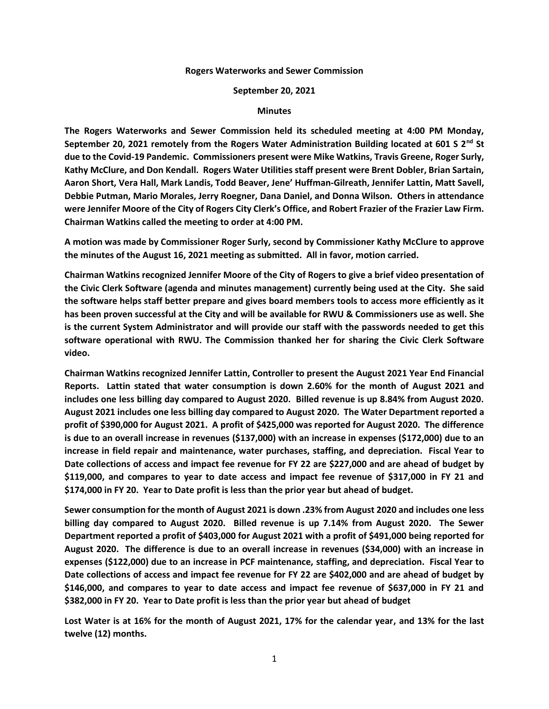## **Rogers Waterworks and Sewer Commission**

## **September 20, 2021**

## **Minutes**

**The Rogers Waterworks and Sewer Commission held its scheduled meeting at 4:00 PM Monday, September 20, 2021 remotely from the Rogers Water Administration Building located at 601 S 2nd St due to the Covid-19 Pandemic. Commissioners present were Mike Watkins, Travis Greene, Roger Surly, Kathy McClure, and Don Kendall. Rogers Water Utilities staff present were Brent Dobler, Brian Sartain, Aaron Short, Vera Hall, Mark Landis, Todd Beaver, Jene' Huffman-Gilreath, Jennifer Lattin, Matt Savell, Debbie Putman, Mario Morales, Jerry Roegner, Dana Daniel, and Donna Wilson. Others in attendance were Jennifer Moore of the City of Rogers City Clerk's Office, and Robert Frazier of the Frazier Law Firm. Chairman Watkins called the meeting to order at 4:00 PM.**

**A motion was made by Commissioner Roger Surly, second by Commissioner Kathy McClure to approve the minutes of the August 16, 2021 meeting as submitted. All in favor, motion carried.**

**Chairman Watkins recognized Jennifer Moore of the City of Rogers to give a brief video presentation of the Civic Clerk Software (agenda and minutes management) currently being used at the City. She said the software helps staff better prepare and gives board members tools to access more efficiently as it has been proven successful at the City and will be available for RWU & Commissioners use as well. She is the current System Administrator and will provide our staff with the passwords needed to get this software operational with RWU. The Commission thanked her for sharing the Civic Clerk Software video.**

**Chairman Watkins recognized Jennifer Lattin, Controller to present the August 2021 Year End Financial Reports. Lattin stated that water consumption is down 2.60% for the month of August 2021 and includes one less billing day compared to August 2020. Billed revenue is up 8.84% from August 2020. August 2021 includes one less billing day compared to August 2020. The Water Department reported a profit of \$390,000 for August 2021. A profit of \$425,000 was reported for August 2020. The difference is due to an overall increase in revenues (\$137,000) with an increase in expenses (\$172,000) due to an increase in field repair and maintenance, water purchases, staffing, and depreciation. Fiscal Year to Date collections of access and impact fee revenue for FY 22 are \$227,000 and are ahead of budget by \$119,000, and compares to year to date access and impact fee revenue of \$317,000 in FY 21 and \$174,000 in FY 20. Year to Date profit is less than the prior year but ahead of budget.**

**Sewer consumption for the month of August 2021 is down .23% from August 2020 and includes one less billing day compared to August 2020. Billed revenue is up 7.14% from August 2020. The Sewer Department reported a profit of \$403,000 for August 2021 with a profit of \$491,000 being reported for August 2020. The difference is due to an overall increase in revenues (\$34,000) with an increase in expenses (\$122,000) due to an increase in PCF maintenance, staffing, and depreciation. Fiscal Year to Date collections of access and impact fee revenue for FY 22 are \$402,000 and are ahead of budget by \$146,000, and compares to year to date access and impact fee revenue of \$637,000 in FY 21 and \$382,000 in FY 20. Year to Date profit is less than the prior year but ahead of budget**

**Lost Water is at 16% for the month of August 2021, 17% for the calendar year, and 13% for the last twelve (12) months.**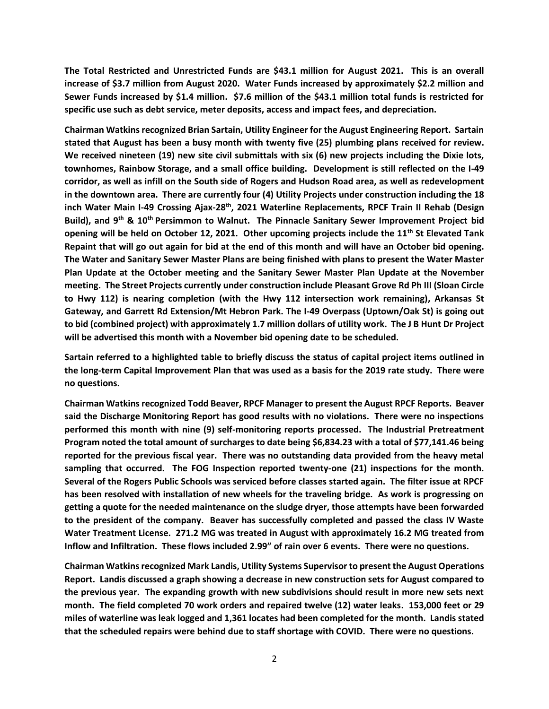**The Total Restricted and Unrestricted Funds are \$43.1 million for August 2021. This is an overall increase of \$3.7 million from August 2020. Water Funds increased by approximately \$2.2 million and Sewer Funds increased by \$1.4 million. \$7.6 million of the \$43.1 million total funds is restricted for specific use such as debt service, meter deposits, access and impact fees, and depreciation.**

**Chairman Watkins recognized Brian Sartain, Utility Engineer for the August Engineering Report. Sartain stated that August has been a busy month with twenty five (25) plumbing plans received for review. We received nineteen (19) new site civil submittals with six (6) new projects including the Dixie lots, townhomes, Rainbow Storage, and a small office building. Development is still reflected on the I-49 corridor, as well as infill on the South side of Rogers and Hudson Road area, as well as redevelopment in the downtown area. There are currently four (4) Utility Projects under construction including the 18 inch Water Main I-49 Crossing Ajax-28th, 2021 Waterline Replacements, RPCF Train II Rehab (Design Build), and 9th & 10th Persimmon to Walnut. The Pinnacle Sanitary Sewer Improvement Project bid opening will be held on October 12, 2021. Other upcoming projects include the 11th St Elevated Tank Repaint that will go out again for bid at the end of this month and will have an October bid opening. The Water and Sanitary Sewer Master Plans are being finished with plans to present the Water Master Plan Update at the October meeting and the Sanitary Sewer Master Plan Update at the November meeting. The Street Projects currently under construction include Pleasant Grove Rd Ph III (Sloan Circle to Hwy 112) is nearing completion (with the Hwy 112 intersection work remaining), Arkansas St Gateway, and Garrett Rd Extension/Mt Hebron Park. The I-49 Overpass (Uptown/Oak St) is going out to bid (combined project) with approximately 1.7 million dollars of utility work. The J B Hunt Dr Project will be advertised this month with a November bid opening date to be scheduled.**

**Sartain referred to a highlighted table to briefly discuss the status of capital project items outlined in the long-term Capital Improvement Plan that was used as a basis for the 2019 rate study. There were no questions.**

**Chairman Watkins recognized Todd Beaver, RPCF Manager to present the August RPCF Reports. Beaver said the Discharge Monitoring Report has good results with no violations. There were no inspections performed this month with nine (9) self-monitoring reports processed. The Industrial Pretreatment Program noted the total amount of surcharges to date being \$6,834.23 with a total of \$77,141.46 being reported for the previous fiscal year. There was no outstanding data provided from the heavy metal sampling that occurred. The FOG Inspection reported twenty-one (21) inspections for the month. Several of the Rogers Public Schools was serviced before classes started again. The filter issue at RPCF has been resolved with installation of new wheels for the traveling bridge. As work is progressing on getting a quote for the needed maintenance on the sludge dryer, those attempts have been forwarded to the president of the company. Beaver has successfully completed and passed the class IV Waste Water Treatment License. 271.2 MG was treated in August with approximately 16.2 MG treated from Inflow and Infiltration. These flows included 2.99" of rain over 6 events. There were no questions.**

**Chairman Watkins recognized Mark Landis, Utility Systems Supervisor to present the August Operations Report. Landis discussed a graph showing a decrease in new construction sets for August compared to the previous year. The expanding growth with new subdivisions should result in more new sets next month. The field completed 70 work orders and repaired twelve (12) water leaks. 153,000 feet or 29 miles of waterline was leak logged and 1,361 locates had been completed for the month. Landis stated that the scheduled repairs were behind due to staff shortage with COVID. There were no questions.**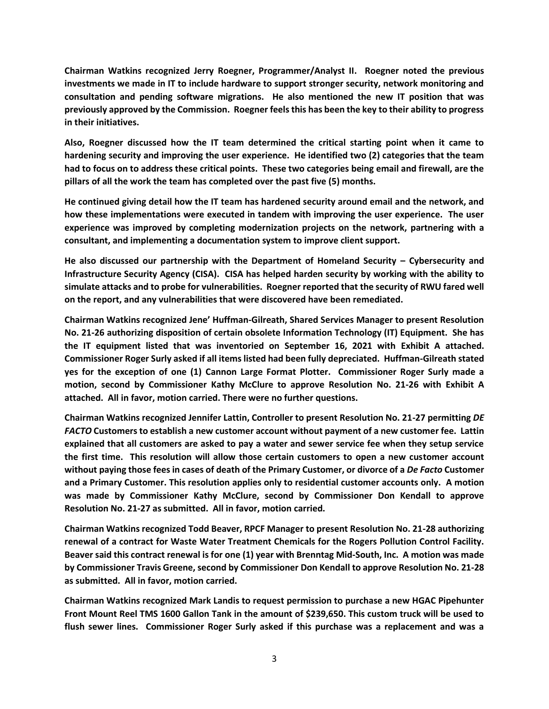**Chairman Watkins recognized Jerry Roegner, Programmer/Analyst II. Roegner noted the previous investments we made in IT to include hardware to support stronger security, network monitoring and consultation and pending software migrations. He also mentioned the new IT position that was previously approved by the Commission. Roegner feels this has been the key to their ability to progress in their initiatives.**

**Also, Roegner discussed how the IT team determined the critical starting point when it came to hardening security and improving the user experience. He identified two (2) categories that the team had to focus on to address these critical points. These two categories being email and firewall, are the pillars of all the work the team has completed over the past five (5) months.**

**He continued giving detail how the IT team has hardened security around email and the network, and how these implementations were executed in tandem with improving the user experience. The user experience was improved by completing modernization projects on the network, partnering with a consultant, and implementing a documentation system to improve client support.**

**He also discussed our partnership with the Department of Homeland Security – Cybersecurity and Infrastructure Security Agency (CISA). CISA has helped harden security by working with the ability to simulate attacks and to probe for vulnerabilities. Roegner reported that the security of RWU fared well on the report, and any vulnerabilities that were discovered have been remediated.**

**Chairman Watkins recognized Jene' Huffman-Gilreath, Shared Services Manager to present Resolution No. 21-26 authorizing disposition of certain obsolete Information Technology (IT) Equipment. She has the IT equipment listed that was inventoried on September 16, 2021 with Exhibit A attached. Commissioner Roger Surly asked if all items listed had been fully depreciated. Huffman-Gilreath stated yes for the exception of one (1) Cannon Large Format Plotter. Commissioner Roger Surly made a motion, second by Commissioner Kathy McClure to approve Resolution No. 21-26 with Exhibit A attached. All in favor, motion carried. There were no further questions.**

**Chairman Watkins recognized Jennifer Lattin, Controller to present Resolution No. 21-27 permitting** *DE FACTO* **Customers to establish a new customer account without payment of a new customer fee. Lattin explained that all customers are asked to pay a water and sewer service fee when they setup service the first time. This resolution will allow those certain customers to open a new customer account without paying those fees in cases of death of the Primary Customer, or divorce of a** *De Facto* **Customer and a Primary Customer. This resolution applies only to residential customer accounts only. A motion was made by Commissioner Kathy McClure, second by Commissioner Don Kendall to approve Resolution No. 21-27 as submitted. All in favor, motion carried.**

**Chairman Watkins recognized Todd Beaver, RPCF Manager to present Resolution No. 21-28 authorizing renewal of a contract for Waste Water Treatment Chemicals for the Rogers Pollution Control Facility. Beaver said this contract renewal is for one (1) year with Brenntag Mid-South, Inc. A motion was made by Commissioner Travis Greene, second by Commissioner Don Kendall to approve Resolution No. 21-28 as submitted. All in favor, motion carried.**

**Chairman Watkins recognized Mark Landis to request permission to purchase a new HGAC Pipehunter Front Mount Reel TMS 1600 Gallon Tank in the amount of \$239,650. This custom truck will be used to flush sewer lines. Commissioner Roger Surly asked if this purchase was a replacement and was a**